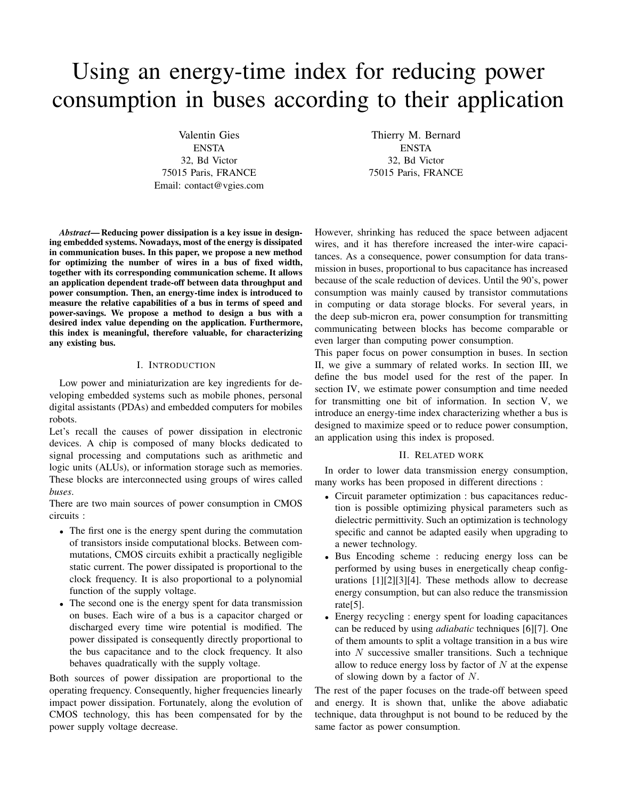# Using an energy-time index for reducing power consumption in buses according to their application

Valentin Gies ENSTA 32, Bd Victor 75015 Paris, FRANCE Email: contact@vgies.com

Thierry M. Bernard ENSTA 32, Bd Victor 75015 Paris, FRANCE

*Abstract***—Reducing power dissipation is a key issue in designing embedded systems. Nowadays, most of the energy is dissipated in communication buses. In this paper, we propose a new method for optimizing the number of wires in a bus of fixed width, together with its corresponding communication scheme. It allows an application dependent trade-off between data throughput and power consumption. Then, an energy-time index is introduced to measure the relative capabilities of a bus in terms of speed and power-savings. We propose a method to design a bus with a desired index value depending on the application. Furthermore, this index is meaningful, therefore valuable, for characterizing any existing bus.**

## I. INTRODUCTION

Low power and miniaturization are key ingredients for developing embedded systems such as mobile phones, personal digital assistants (PDAs) and embedded computers for mobiles robots.

Let's recall the causes of power dissipation in electronic devices. A chip is composed of many blocks dedicated to signal processing and computations such as arithmetic and logic units (ALUs), or information storage such as memories. These blocks are interconnected using groups of wires called *buses*.

There are two main sources of power consumption in CMOS circuits :

- The first one is the energy spent during the commutation of transistors inside computational blocks. Between commutations, CMOS circuits exhibit a practically negligible static current. The power dissipated is proportional to the clock frequency. It is also proportional to a polynomial function of the supply voltage.
- The second one is the energy spent for data transmission on buses. Each wire of a bus is a capacitor charged or discharged every time wire potential is modified. The power dissipated is consequently directly proportional to the bus capacitance and to the clock frequency. It also behaves quadratically with the supply voltage.

Both sources of power dissipation are proportional to the operating frequency. Consequently, higher frequencies linearly impact power dissipation. Fortunately, along the evolution of CMOS technology, this has been compensated for by the power supply voltage decrease.

However, shrinking has reduced the space between adjacent wires, and it has therefore increased the inter-wire capacitances. As a consequence, power consumption for data transmission in buses, proportional to bus capacitance has increased because of the scale reduction of devices. Until the 90's, power consumption was mainly caused by transistor commutations in computing or data storage blocks. For several years, in the deep sub-micron era, power consumption for transmitting communicating between blocks has become comparable or even larger than computing power consumption.

This paper focus on power consumption in buses. In section II, we give a summary of related works. In section III, we define the bus model used for the rest of the paper. In section IV, we estimate power consumption and time needed for transmitting one bit of information. In section V, we introduce an energy-time index characterizing whether a bus is designed to maximize speed or to reduce power consumption, an application using this index is proposed.

## II. RELATED WORK

In order to lower data transmission energy consumption, many works has been proposed in different directions :

- Circuit parameter optimization : bus capacitances reduction is possible optimizing physical parameters such as dielectric permittivity. Such an optimization is technology specific and cannot be adapted easily when upgrading to a newer technology.
- Bus Encoding scheme : reducing energy loss can be performed by using buses in energetically cheap configurations [1][2][3][4]. These methods allow to decrease energy consumption, but can also reduce the transmission rate[5].
- Energy recycling : energy spent for loading capacitances can be reduced by using *adiabatic* techniques [6][7]. One of them amounts to split a voltage transition in a bus wire into  $N$  successive smaller transitions. Such a technique allow to reduce energy loss by factor of  $N$  at the expense of slowing down by a factor of N.

The rest of the paper focuses on the trade-off between speed and energy. It is shown that, unlike the above adiabatic technique, data throughput is not bound to be reduced by the same factor as power consumption.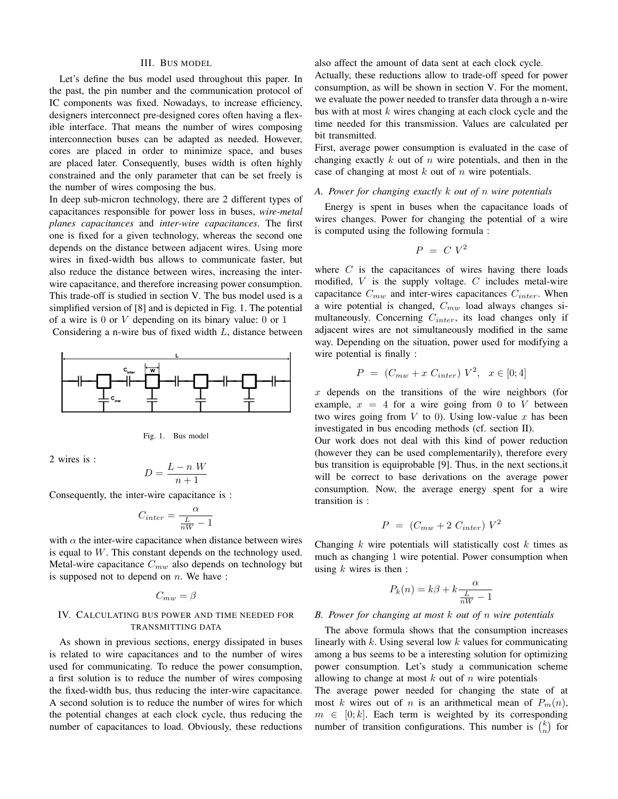#### III. BUS MODEL

Let's define the bus model used throughout this paper. In the past, the pin number and the communication protocol of IC components was fixed. Nowadays, to increase efficiency, designers interconnect pre-designed cores often having a flexible interface. That means the number of wires composing interconnection buses can be adapted as needed. However, cores are placed in order to minimize space, and buses are placed later. Consequently, buses width is often highly constrained and the only parameter that can be set freely is the number of wires composing the bus.

In deep sub-micron technology, there are 2 different types of capacitances responsible for power loss in buses, *wire-metal planes capacitances* and *inter-wire capacitances*. The first one is fixed for a given technology, whereas the second one depends on the distance between adjacent wires. Using more wires in fixed-width bus allows to communicate faster, but also reduce the distance between wires, increasing the interwire capacitance, and therefore increasing power consumption. This trade-off is studied in section V. The bus model used is a simplified version of [8] and is depicted in Fig. 1. The potential of a wire is  $0$  or  $V$  depending on its binary value:  $0$  or  $1$ 

Considering a n-wire bus of fixed width L, distance between



Fig. 1. Bus model

2 wires is :

$$
D = \frac{L - n \ W}{n + 1}
$$

Consequently, the inter-wire capacitance is :

 $\overline{I}$ 

$$
C_{inter} = \frac{\alpha}{\frac{L}{nW} - 1}
$$

with  $\alpha$  the inter-wire capacitance when distance between wires is equal to  $W$ . This constant depends on the technology used. Metal-wire capacitance  $C_{mw}$  also depends on technology but is supposed not to depend on  $n$ . We have :

# $C_{mw} = \beta$

## IV. CALCULATING BUS POWER AND TIME NEEDED FOR TRANSMITTING DATA

As shown in previous sections, energy dissipated in buses is related to wire capacitances and to the number of wires used for communicating. To reduce the power consumption, a first solution is to reduce the number of wires composing the fixed-width bus, thus reducing the inter-wire capacitance. A second solution is to reduce the number of wires for which the potential changes at each clock cycle, thus reducing the number of capacitances to load. Obviously, these reductions also affect the amount of data sent at each clock cycle.

Actually, these reductions allow to trade-off speed for power consumption, as will be shown in section V. For the moment, we evaluate the power needed to transfer data through a n-wire bus with at most  $k$  wires changing at each clock cycle and the time needed for this transmission. Values are calculated per bit transmitted.

First, average power consumption is evaluated in the case of changing exactly  $k$  out of  $n$  wire potentials, and then in the case of changing at most  $k$  out of  $n$  wire potentials.

### *A. Power for changing exactly* k *out of* n *wire potentials*

Energy is spent in buses when the capacitance loads of wires changes. Power for changing the potential of a wire is computed using the following formula :

$$
P = C V^2
$$

where  $C$  is the capacitances of wires having there loads modified,  $V$  is the supply voltage.  $C$  includes metal-wire capacitance  $C_{mw}$  and inter-wires capacitances  $C_{inter}$ . When a wire potential is changed,  $C_{mw}$  load always changes simultaneously. Concerning  $C_{inter}$ , its load changes only if adjacent wires are not simultaneously modified in the same way. Depending on the situation, power used for modifying a wire potential is finally :

$$
P = (C_{mw} + x C_{inter}) V^2, \ x \in [0; 4]
$$

 $x$  depends on the transitions of the wire neighbors (for example,  $x = 4$  for a wire going from 0 to V between two wires going from  $V$  to 0). Using low-value  $x$  has been investigated in bus encoding methods (cf. section II).

Our work does not deal with this kind of power reduction (however they can be used complementarily), therefore every bus transition is equiprobable [9]. Thus, in the next sections,it will be correct to base derivations on the average power consumption. Now, the average energy spent for a wire transition is :

$$
P = (C_{mw} + 2 C_{inter}) V^2
$$

Changing  $k$  wire potentials will statistically cost  $k$  times as much as changing 1 wire potential. Power consumption when using  $k$  wires is then :

$$
P_k(n) = k\beta + k \frac{\alpha}{\frac{L}{nW} - 1}
$$

## *B. Power for changing at most* k *out of* n *wire potentials*

The above formula shows that the consumption increases linearly with  $k$ . Using several low  $k$  values for communicating among a bus seems to be a interesting solution for optimizing power consumption. Let's study a communication scheme allowing to change at most  $k$  out of  $n$  wire potentials

The average power needed for changing the state of at most k wires out of n is an arithmetical mean of  $P_m(n)$ ,  $m \in [0; k]$ . Each term is weighted by its corresponding number of transition configurations. This number is  $\binom{k}{n}$  for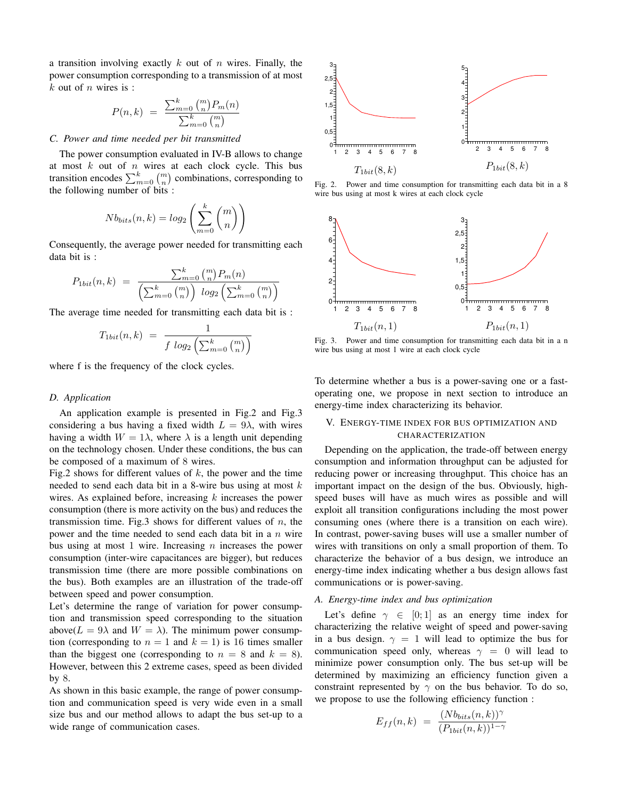a transition involving exactly  $k$  out of  $n$  wires. Finally, the power consumption corresponding to a transmission of at most  $k$  out of  $n$  wires is :

$$
P(n,k) = \frac{\sum_{m=0}^{k} \binom{m}{n} P_m(n)}{\sum_{m=0}^{k} \binom{m}{n}}
$$

# *C. Power and time needed per bit transmitted*

The power consumption evaluated in IV-B allows to change at most  $k$  out of  $n$  wires at each clock cycle. This bus transition encodes  $\sum_{m=0}^{k} \binom{m}{n}$  combinations, corresponding to the following number of bits :

$$
Nb_{bits}(n,k) = log_2\left(\sum_{m=0}^{k} {m \choose n}\right)
$$

Consequently, the average power needed for transmitting each data bit is :

$$
P_{1bit}(n,k) = \frac{\sum_{m=0}^{k} {m \choose n} P_m(n)}{\left(\sum_{m=0}^{k} {m \choose n}\right) \log_2\left(\sum_{m=0}^{k} {m \choose n}\right)}
$$

The average time needed for transmitting each data bit is :

$$
T_{1bit}(n,k) = \frac{1}{f \log_2\left(\sum_{m=0}^k {m \choose n}\right)}
$$

where f is the frequency of the clock cycles.

## *D. Application*

An application example is presented in Fig.2 and Fig.3 considering a bus having a fixed width  $L = 9\lambda$ , with wires having a width  $W = 1\lambda$ , where  $\lambda$  is a length unit depending on the technology chosen. Under these conditions, the bus can be composed of a maximum of 8 wires.

Fig.2 shows for different values of  $k$ , the power and the time needed to send each data bit in a 8-wire bus using at most  $k$ wires. As explained before, increasing  $k$  increases the power consumption (there is more activity on the bus) and reduces the transmission time. Fig.3 shows for different values of  $n$ , the power and the time needed to send each data bit in a  $n$  wire bus using at most 1 wire. Increasing  $n$  increases the power consumption (inter-wire capacitances are bigger), but reduces transmission time (there are more possible combinations on the bus). Both examples are an illustration of the trade-off between speed and power consumption.

Let's determine the range of variation for power consumption and transmission speed corresponding to the situation above( $L = 9\lambda$  and  $W = \lambda$ ). The minimum power consumption (corresponding to  $n = 1$  and  $k = 1$ ) is 16 times smaller than the biggest one (corresponding to  $n = 8$  and  $k = 8$ ). However, between this 2 extreme cases, speed as been divided by 8.

As shown in this basic example, the range of power consumption and communication speed is very wide even in a small size bus and our method allows to adapt the bus set-up to a wide range of communication cases.



Fig. 2. Power and time consumption for transmitting each data bit in a 8 wire bus using at most k wires at each clock cycle



Fig. 3. Power and time consumption for transmitting each data bit in a n wire bus using at most 1 wire at each clock cycle

To determine whether a bus is a power-saving one or a fastoperating one, we propose in next section to introduce an energy-time index characterizing its behavior.

# V. ENERGY-TIME INDEX FOR BUS OPTIMIZATION AND CHARACTERIZATION

Depending on the application, the trade-off between energy consumption and information throughput can be adjusted for reducing power or increasing throughput. This choice has an important impact on the design of the bus. Obviously, highspeed buses will have as much wires as possible and will exploit all transition configurations including the most power consuming ones (where there is a transition on each wire). In contrast, power-saving buses will use a smaller number of wires with transitions on only a small proportion of them. To characterize the behavior of a bus design, we introduce an energy-time index indicating whether a bus design allows fast communications or is power-saving.

## *A. Energy-time index and bus optimization*

Let's define  $\gamma \in [0;1]$  as an energy time index for characterizing the relative weight of speed and power-saving in a bus design.  $\gamma = 1$  will lead to optimize the bus for communication speed only, whereas  $\gamma = 0$  will lead to minimize power consumption only. The bus set-up will be determined by maximizing an efficiency function given a constraint represented by  $\gamma$  on the bus behavior. To do so, we propose to use the following efficiency function :

$$
E_{ff}(n,k) = \frac{(Nb_{bits}(n,k))^{\gamma}}{(P_{1bit}(n,k))^{1-\gamma}}
$$